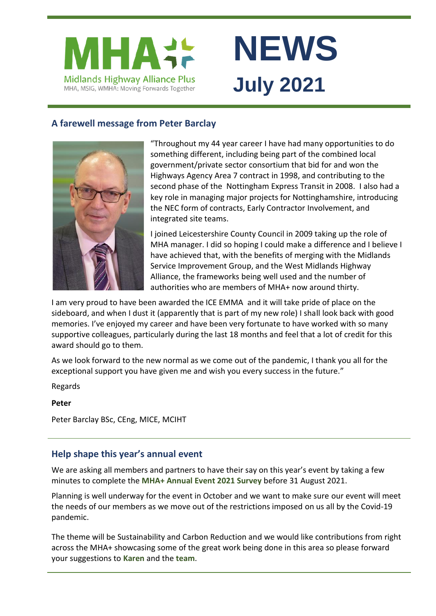

# **NEWS July 2021**

## **A farewell message from Peter Barclay**



"Throughout my 44 year career I have had many opportunities to do something different, including being part of the combined local government/private sector consortium that bid for and won the Highways Agency Area 7 contract in 1998, and contributing to the second phase of the Nottingham Express Transit in 2008. I also had a key role in managing major projects for Nottinghamshire, introducing the NEC form of contracts, Early Contractor Involvement, and integrated site teams.

I joined Leicestershire County Council in 2009 taking up the role of MHA manager. I did so hoping I could make a difference and I believe I have achieved that, with the benefits of merging with the Midlands Service Improvement Group, and the West Midlands Highway Alliance, the frameworks being well used and the number of authorities who are members of MHA+ now around thirty.

I am very proud to have been awarded the ICE EMMA and it will take pride of place on the sideboard, and when I dust it (apparently that is part of my new role) I shall look back with good memories. I've enjoyed my career and have been very fortunate to have worked with so many supportive colleagues, particularly during the last 18 months and feel that a lot of credit for this award should go to them.

As we look forward to the new normal as we come out of the pandemic, I thank you all for the exceptional support you have given me and wish you every success in the future."

Regards

#### **Peter**

Peter Barclay BSc, CEng, MICE, MCIHT

### **Help shape this year's annual event**

We are asking all members and partners to have their say on this year's event by taking a few minutes to complete the **[MHA+ Annual Event 2021 Survey](https://www.menti.com/5zvxt97pwy)** before 31 August 2021.

Planning is well underway for the event in October and we want to make sure our event will meet the needs of our members as we move out of the restrictions imposed on us all by the Covid-19 pandemic.

The theme will be Sustainability and Carbon Reduction and we would like contributions from right across the MHA+ showcasing some of the great work being done in this area so please forward your suggestions to **[Karen](mailto:Karen.Notman@leics.gov.uk)** and the **[team](mailto:MidlandsHighwayAlliance@leics.gov.uk)**.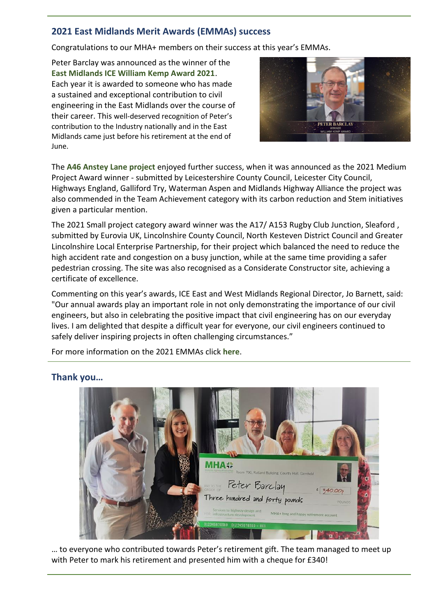#### **2021 East Midlands Merit Awards (EMMAs) success**

Congratulations to our MHA+ members on their success at this year's EMMAs.

Peter Barclay was announced as the winner of the **[East Midlands ICE William Kemp Award 2021](https://youtu.be/phR5bflp5pE)**. Each year it is awarded to someone who has made a sustained and exceptional contribution to civil engineering in the East Midlands over the course of their career. This well-deserved recognition of Peter's contribution to the Industry nationally and in the East Midlands came just before his retirement at the end of June.



The **[A46 Anstey Lane project](https://youtu.be/-aBEwyynskE)** enjoyed further success, when it was announced as the 2021 Medium Project Award winner - submitted by Leicestershire County Council, Leicester City Council, Highways England, Galliford Try, Waterman Aspen and Midlands Highway Alliance the project was also commended in the Team Achievement category with its carbon reduction and Stem initiatives given a particular mention.

The 2021 Small project category award winner was the A17/ A153 Rugby Club Junction, Sleaford , submitted by Eurovia UK, Lincolnshire County Council, North Kesteven District Council and Greater Lincolnshire Local Enterprise Partnership, for their project which balanced the need to reduce the high accident rate and congestion on a busy junction, while at the same time providing a safer pedestrian crossing. The site was also recognised as a Considerate Constructor site, achieving a certificate of excellence.

Commenting on this year's awards, ICE East and West Midlands Regional Director, Jo Barnett, said: "Our annual awards play an important role in not only demonstrating the importance of our civil engineers, but also in celebrating the positive impact that civil engineering has on our everyday lives. I am delighted that despite a difficult year for everyone, our civil engineers continued to safely deliver inspiring projects in often challenging circumstances."

For more information on the 2021 EMMAs click **[here](https://www.ice.org.uk/about-ice/near-you/uk/east-midlands/awards/merit-awards)**.



# **Thank you…**

… to everyone who contributed towards Peter's retirement gift. The team managed to meet up with Peter to mark his retirement and presented him with a cheque for £340!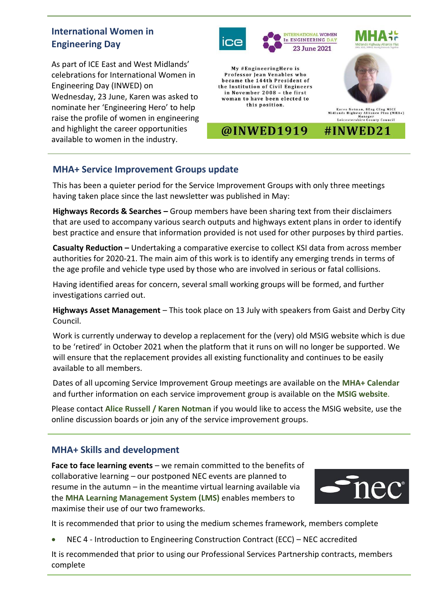# **International Women in Engineering Day**

As part of ICE East and West Midlands' celebrations for International Women in Engineering Day (INWED) on Wednesday, 23 June, Karen was asked to nominate her 'Engineering Hero' to help raise the profile of women in engineering and highlight the career opportunities available to women in the industry.



#### **MHA+ Service Improvement Groups update**

This has been a quieter period for the Service Improvement Groups with only three meetings having taken place since the last newsletter was published in May:

**Highways Records & Searches –** Group members have been sharing text from their disclaimers that are used to accompany various search outputs and highways extent plans in order to identify best practice and ensure that information provided is not used for other purposes by third parties.

**Casualty Reduction –** Undertaking a comparative exercise to collect KSI data from across member authorities for 2020-21. The main aim of this work is to identify any emerging trends in terms of the age profile and vehicle type used by those who are involved in serious or fatal collisions.

Having identified areas for concern, several small working groups will be formed, and further investigations carried out.

**Highways Asset Management** – This took place on 13 July with speakers from Gaist and Derby City Council.

Work is currently underway to develop a replacement for the (very) old MSIG website which is due to be 'retired' in October 2021 when the platform that it runs on will no longer be supported. We will ensure that the replacement provides all existing functionality and continues to be easily available to all members.

Dates of all upcoming Service Improvement Group meetings are available on the **[MHA+ Calendar](https://www.mhaplus.org.uk/calendar/)** and further information on each service improvement group is available on the **[MSIG website](https://msig.econtrack.com/Content.aspx?1802)**.

Please contact **[Alice Russell](mailto:alice.russell@derbyshire.gov.uk) / [Karen Notman](mailto:Karen.Notman@leics.gov.uk)** if you would like to access the MSIG website, use the online discussion boards or join any of the service improvement groups.

#### **MHA+ Skills and development**

**Face to face learning events** – we remain committed to the benefits of collaborative learning – our postponed NEC events are planned to resume in the autumn – in the meantime virtual learning available via the **[MHA Learning Management System \(LMS\)](https://mhaskills.virtual-college.co.uk/)** enables members to maximise their use of our two frameworks.



It is recommended that prior to using the medium schemes framework, members complete

• NEC 4 - Introduction to Engineering Construction Contract (ECC) – NEC accredited

It is recommended that prior to using our Professional Services Partnership contracts, members complete